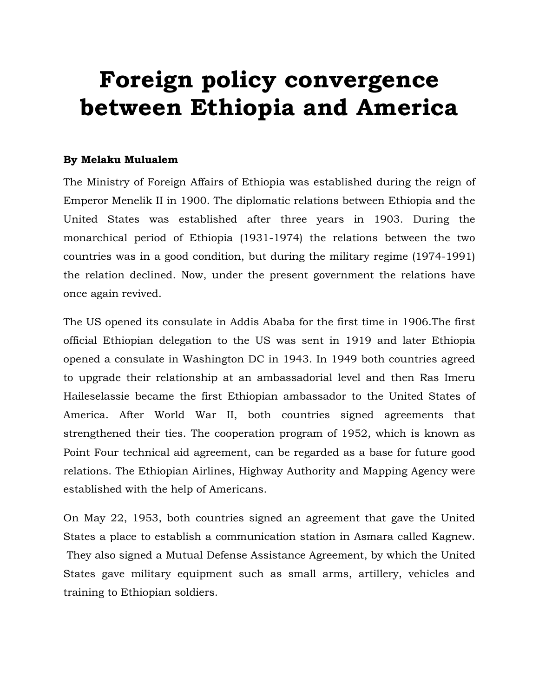## **Foreign policy convergence between Ethiopia and America**

## **By Melaku Mulualem**

The Ministry of Foreign Affairs of Ethiopia was established during the reign of Emperor Menelik II in 1900. The diplomatic relations between Ethiopia and the United States was established after three years in 1903. During the monarchical period of Ethiopia (1931-1974) the relations between the two countries was in a good condition, but during the military regime (1974-1991) the relation declined. Now, under the present government the relations have once again revived.

The US opened its consulate in Addis Ababa for the first time in 1906.The first official Ethiopian delegation to the US was sent in 1919 and later Ethiopia opened a consulate in Washington DC in 1943. In 1949 both countries agreed to upgrade their relationship at an ambassadorial level and then Ras Imeru Haileselassie became the first Ethiopian ambassador to the United States of America. After World War II, both countries signed agreements that strengthened their ties. The cooperation program of 1952, which is known as Point Four technical aid agreement, can be regarded as a base for future good relations. The Ethiopian Airlines, Highway Authority and Mapping Agency were established with the help of Americans.

On May 22, 1953, both countries signed an agreement that gave the United States a place to establish a communication station in Asmara called Kagnew. They also signed a Mutual Defense Assistance Agreement, by which the United States gave military equipment such as small arms, artillery, vehicles and training to Ethiopian soldiers.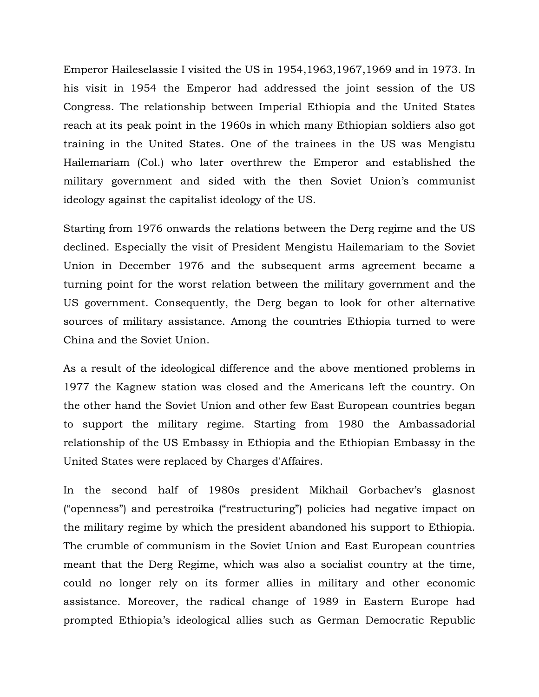Emperor Haileselassie I visited the US in 1954,1963,1967,1969 and in 1973. In his visit in 1954 the Emperor had addressed the joint session of the US Congress. The relationship between Imperial Ethiopia and the United States reach at its peak point in the 1960s in which many Ethiopian soldiers also got training in the United States. One of the trainees in the US was Mengistu Hailemariam (Col.) who later overthrew the Emperor and established the military government and sided with the then Soviet Union's communist ideology against the capitalist ideology of the US.

Starting from 1976 onwards the relations between the Derg regime and the US declined. Especially the visit of President Mengistu Hailemariam to the Soviet Union in December 1976 and the subsequent arms agreement became a turning point for the worst relation between the military government and the US government. Consequently, the Derg began to look for other alternative sources of military assistance. Among the countries Ethiopia turned to were China and the Soviet Union.

As a result of the ideological difference and the above mentioned problems in 1977 the Kagnew station was closed and the Americans left the country. On the other hand the Soviet Union and other few East European countries began to support the military regime. Starting from 1980 the Ambassadorial relationship of the US Embassy in Ethiopia and the Ethiopian Embassy in the United States were replaced by Charges d'Affaires.

In the second half of 1980s president Mikhail Gorbachev's glasnost ("openness") and perestroika ("restructuring") policies had negative impact on the military regime by which the president abandoned his support to Ethiopia. The crumble of communism in the Soviet Union and East European countries meant that the Derg Regime, which was also a socialist country at the time, could no longer rely on its former allies in military and other economic assistance. Moreover, the radical change of 1989 in Eastern Europe had prompted Ethiopia's ideological allies such as German Democratic Republic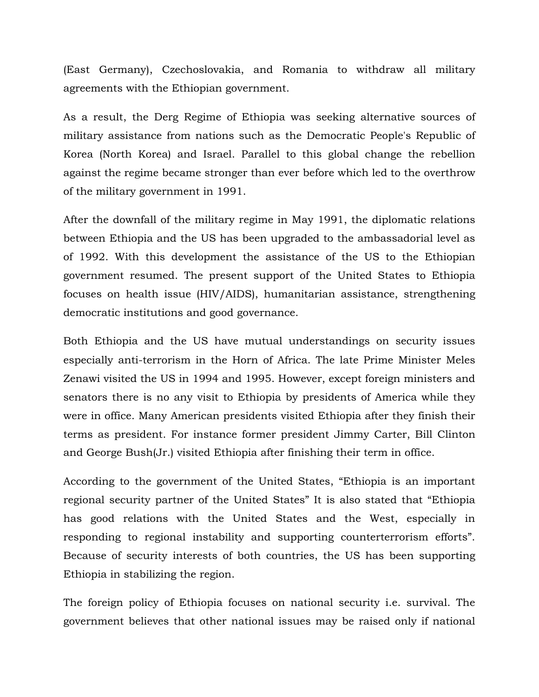(East Germany), Czechoslovakia, and Romania to withdraw all military agreements with the Ethiopian government.

As a result, the Derg Regime of Ethiopia was seeking alternative sources of military assistance from nations such as the Democratic People's Republic of Korea (North Korea) and Israel. Parallel to this global change the rebellion against the regime became stronger than ever before which led to the overthrow of the military government in 1991.

After the downfall of the military regime in May 1991, the diplomatic relations between Ethiopia and the US has been upgraded to the ambassadorial level as of 1992. With this development the assistance of the US to the Ethiopian government resumed. The present support of the United States to Ethiopia focuses on health issue (HIV/AIDS), humanitarian assistance, strengthening democratic institutions and good governance.

Both Ethiopia and the US have mutual understandings on security issues especially anti-terrorism in the Horn of Africa. The late Prime Minister Meles Zenawi visited the US in 1994 and 1995. However, except foreign ministers and senators there is no any visit to Ethiopia by presidents of America while they were in office. Many American presidents visited Ethiopia after they finish their terms as president. For instance former president Jimmy Carter, Bill Clinton and George Bush(Jr.) visited Ethiopia after finishing their term in office.

According to the government of the United States, "Ethiopia is an important regional security partner of the United States" It is also stated that "Ethiopia has good relations with the United States and the West, especially in responding to regional instability and supporting counterterrorism efforts". Because of security interests of both countries, the US has been supporting Ethiopia in stabilizing the region.

The foreign policy of Ethiopia focuses on national security i.e. survival. The government believes that other national issues may be raised only if national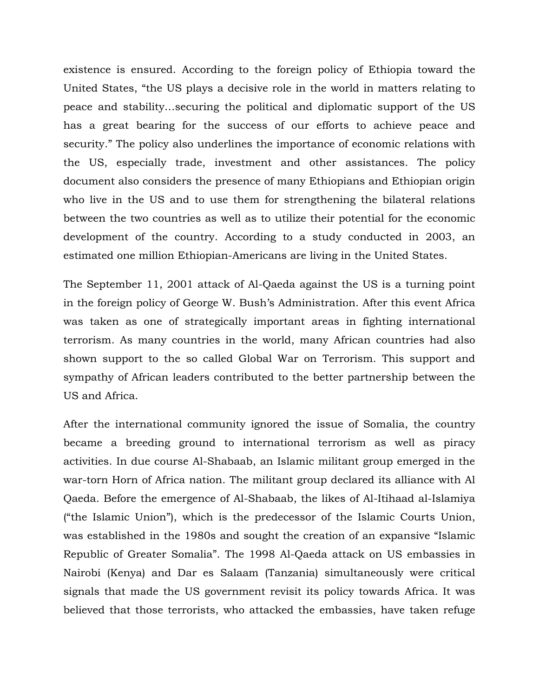existence is ensured. According to the foreign policy of Ethiopia toward the United States, "the US plays a decisive role in the world in matters relating to peace and stability…securing the political and diplomatic support of the US has a great bearing for the success of our efforts to achieve peace and security." The policy also underlines the importance of economic relations with the US, especially trade, investment and other assistances. The policy document also considers the presence of many Ethiopians and Ethiopian origin who live in the US and to use them for strengthening the bilateral relations between the two countries as well as to utilize their potential for the economic development of the country. According to a study conducted in 2003, an estimated one million Ethiopian-Americans are living in the United States.

The September 11, 2001 attack of Al-Qaeda against the US is a turning point in the foreign policy of George W. Bush's Administration. After this event Africa was taken as one of strategically important areas in fighting international terrorism. As many countries in the world, many African countries had also shown support to the so called Global War on Terrorism. This support and sympathy of African leaders contributed to the better partnership between the US and Africa.

After the international community ignored the issue of Somalia, the country became a breeding ground to international terrorism as well as piracy activities. In due course Al-Shabaab, an Islamic militant group emerged in the war-torn Horn of Africa nation. The militant group declared its alliance with Al Qaeda. Before the emergence of Al-Shabaab, the likes of Al-Itihaad al-Islamiya ("the Islamic Union"), which is the predecessor of the Islamic Courts Union, was established in the 1980s and sought the creation of an expansive "Islamic Republic of Greater Somalia". The 1998 Al-Qaeda attack on US embassies in Nairobi (Kenya) and Dar es Salaam (Tanzania) simultaneously were critical signals that made the US government revisit its policy towards Africa. It was believed that those terrorists, who attacked the embassies, have taken refuge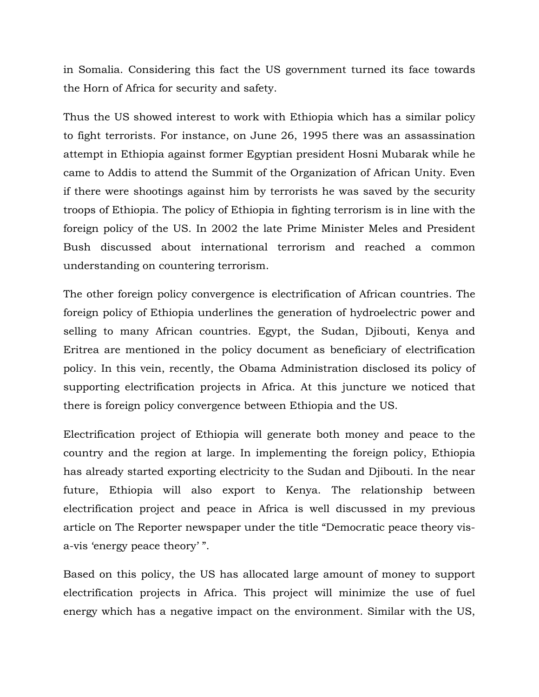in Somalia. Considering this fact the US government turned its face towards the Horn of Africa for security and safety.

Thus the US showed interest to work with Ethiopia which has a similar policy to fight terrorists. For instance, on June 26, 1995 there was an assassination attempt in Ethiopia against former Egyptian president Hosni Mubarak while he came to Addis to attend the Summit of the Organization of African Unity. Even if there were shootings against him by terrorists he was saved by the security troops of Ethiopia. The policy of Ethiopia in fighting terrorism is in line with the foreign policy of the US. In 2002 the late Prime Minister Meles and President Bush discussed about international terrorism and reached a common understanding on countering terrorism.

The other foreign policy convergence is electrification of African countries. The foreign policy of Ethiopia underlines the generation of hydroelectric power and selling to many African countries. Egypt, the Sudan, Djibouti, Kenya and Eritrea are mentioned in the policy document as beneficiary of electrification policy. In this vein, recently, the Obama Administration disclosed its policy of supporting electrification projects in Africa. At this juncture we noticed that there is foreign policy convergence between Ethiopia and the US.

Electrification project of Ethiopia will generate both money and peace to the country and the region at large. In implementing the foreign policy, Ethiopia has already started exporting electricity to the Sudan and Djibouti. In the near future, Ethiopia will also export to Kenya. The relationship between electrification project and peace in Africa is well discussed in my previous article on The Reporter newspaper under the title "Democratic peace theory visa-vis 'energy peace theory' ".

Based on this policy, the US has allocated large amount of money to support electrification projects in Africa. This project will minimize the use of fuel energy which has a negative impact on the environment. Similar with the US,